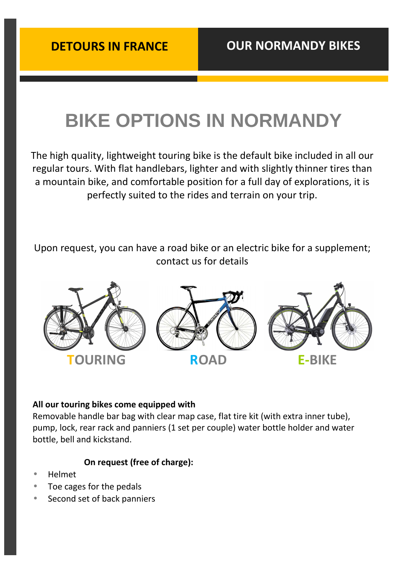# **BIKE OPTIONS IN NORMANDY**

The high quality, lightweight touring bike is the default bike included in all our regular tours. With flat handlebars, lighter and with slightly thinner tires than a mountain bike, and comfortable position for a full day of explorations, it is perfectly suited to the rides and terrain on your trip.

Upon request, you can have a road bike or an electric bike for a supplement; contact us for details



#### **All our touring bikes come equipped with**

Removable handle bar bag with clear map case, flat tire kit (with extra inner tube), pump, lock, rear rack and panniers (1 set per couple) water bottle holder and water bottle, bell and kickstand.

#### **On request (free of charge):**

- Helmet
- Toe cages for the pedals
- Second set of back panniers